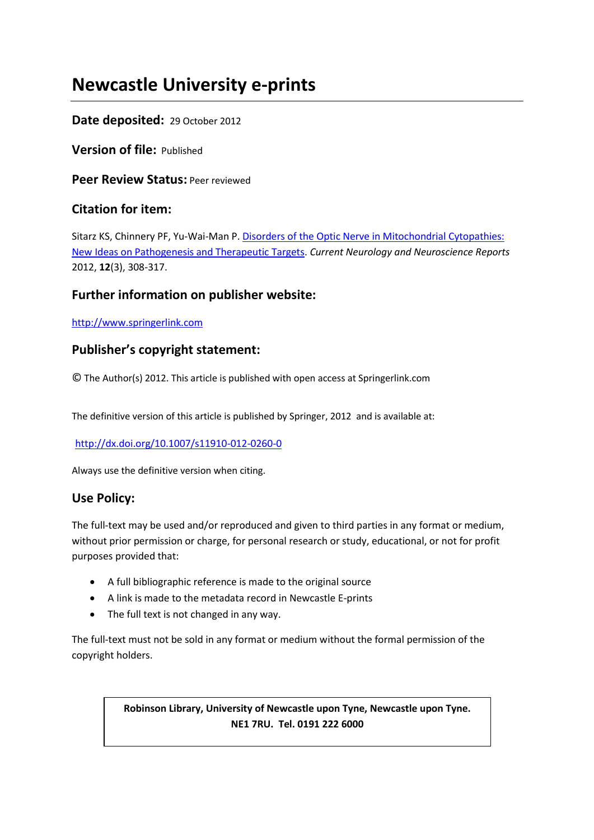# **Newcastle University e-prints**

# **Date deposited:** 29 October 2012

**Version of file:** Published

**Peer Review Status:** Peer reviewed

# **Citation for item:**

Sitarz KS, Chinnery PF, Yu-Wai-Man P. [Disorders of the Optic Nerve in Mitochondrial Cytopathies:](javascript:ViewPublication(185918);)  [New Ideas on Pathogenesis and Therapeutic Targets.](javascript:ViewPublication(185918);) *Current Neurology and Neuroscience Reports* 2012, **12**(3), 308-317.

# **Further information on publisher website:**

[http://www.springerlink.com](http://www.springerlink.com/)

# **Publisher's copyright statement:**

© The Author(s) 2012. This article is published with open access at Springerlink.com

The definitive version of this article is published by Springer, 2012 and is available at:

# <http://dx.doi.org/10.1007/s11910-012-0260-0>

Always use the definitive version when citing.

# **Use Policy:**

The full-text may be used and/or reproduced and given to third parties in any format or medium, without prior permission or charge, for personal research or study, educational, or not for profit purposes provided that:

- A full bibliographic reference is made to the original source
- A link is made to the metadata record in Newcastle E-prints
- The full text is not changed in any way.

The full-text must not be sold in any format or medium without the formal permission of the copyright holders.

# **Robinson Library, University of Newcastle upon Tyne, Newcastle upon Tyne. NE1 7RU. Tel. 0191 222 6000**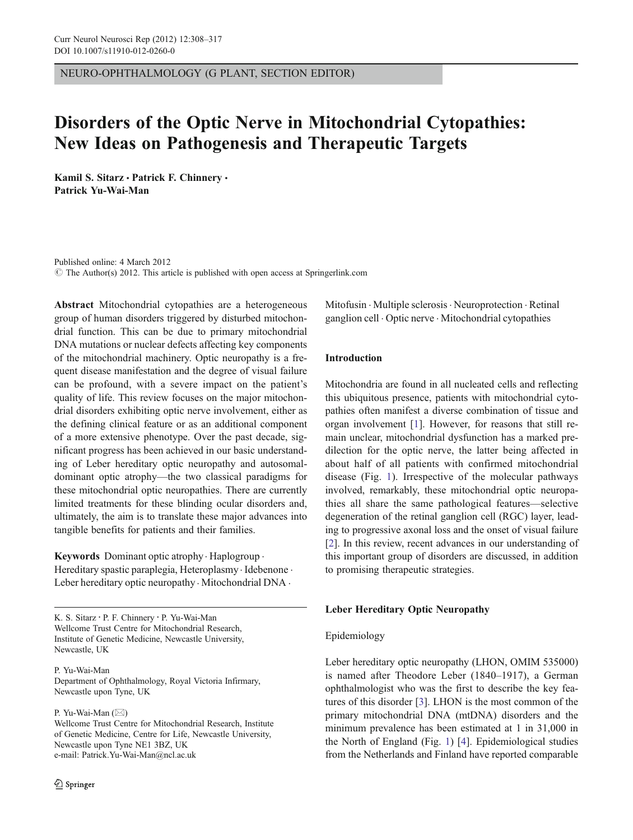NEURO-OPHTHALMOLOGY (G PLANT, SECTION EDITOR)

# Disorders of the Optic Nerve in Mitochondrial Cytopathies: New Ideas on Pathogenesis and Therapeutic Targets

Kamil S. Sitarz · Patrick F. Chinnery · Patrick Yu-Wai-Man

Published online: 4 March 2012  $\odot$  The Author(s) 2012. This article is published with open access at Springerlink.com

Abstract Mitochondrial cytopathies are a heterogeneous group of human disorders triggered by disturbed mitochondrial function. This can be due to primary mitochondrial DNA mutations or nuclear defects affecting key components of the mitochondrial machinery. Optic neuropathy is a frequent disease manifestation and the degree of visual failure can be profound, with a severe impact on the patient's quality of life. This review focuses on the major mitochondrial disorders exhibiting optic nerve involvement, either as the defining clinical feature or as an additional component of a more extensive phenotype. Over the past decade, significant progress has been achieved in our basic understanding of Leber hereditary optic neuropathy and autosomaldominant optic atrophy—the two classical paradigms for these mitochondrial optic neuropathies. There are currently limited treatments for these blinding ocular disorders and, ultimately, the aim is to translate these major advances into tangible benefits for patients and their families.

Keywords Dominant optic atrophy. Haplogroup . Hereditary spastic paraplegia, Heteroplasmy . Idebenone . Leber hereditary optic neuropathy · Mitochondrial DNA ·

K. S. Sitarz : P. F. Chinnery : P. Yu-Wai-Man Wellcome Trust Centre for Mitochondrial Research, Institute of Genetic Medicine, Newcastle University, Newcastle, UK

P. Yu-Wai-Man Department of Ophthalmology, Royal Victoria Infirmary, Newcastle upon Tyne, UK

P. Yu-Wai-Man  $(\boxtimes)$ 

Wellcome Trust Centre for Mitochondrial Research, Institute of Genetic Medicine, Centre for Life, Newcastle University, Newcastle upon Tyne NE1 3BZ, UK e-mail: Patrick.Yu-Wai-Man@ncl.ac.uk

Mitofusin . Multiple sclerosis. Neuroprotection . Retinal ganglion cell . Optic nerve . Mitochondrial cytopathies

# Introduction

Mitochondria are found in all nucleated cells and reflecting this ubiquitous presence, patients with mitochondrial cytopathies often manifest a diverse combination of tissue and organ involvement [1]. However, for reasons that still remain unclear, mitochondrial dysfunction has a marked predilection for the optic nerve, the latter being affected in about half of all patients with confirmed mitochondrial disease (Fig. 1). Irrespective of the molecular pathways involved, remarkably, these mitochondrial optic neuropathies all share the same pathological features—selective degeneration of the retinal ganglion cell (RGC) layer, leading to progressive axonal loss and the onset of visual failure [2]. In this review, recent advances in our understanding of this important group of disorders are discussed, in addition to promising therapeutic strategies.

### Leber Hereditary Optic Neuropathy

# Epidemiology

Leber hereditary optic neuropathy (LHON, OMIM 535000) is named after Theodore Leber (1840–1917), a German ophthalmologist who was the first to describe the key features of this disorder [3]. LHON is the most common of the primary mitochondrial DNA (mtDNA) disorders and the minimum prevalence has been estimated at 1 in 31,000 in the North of England (Fig. 1) [4]. Epidemiological studies from the Netherlands and Finland have reported comparable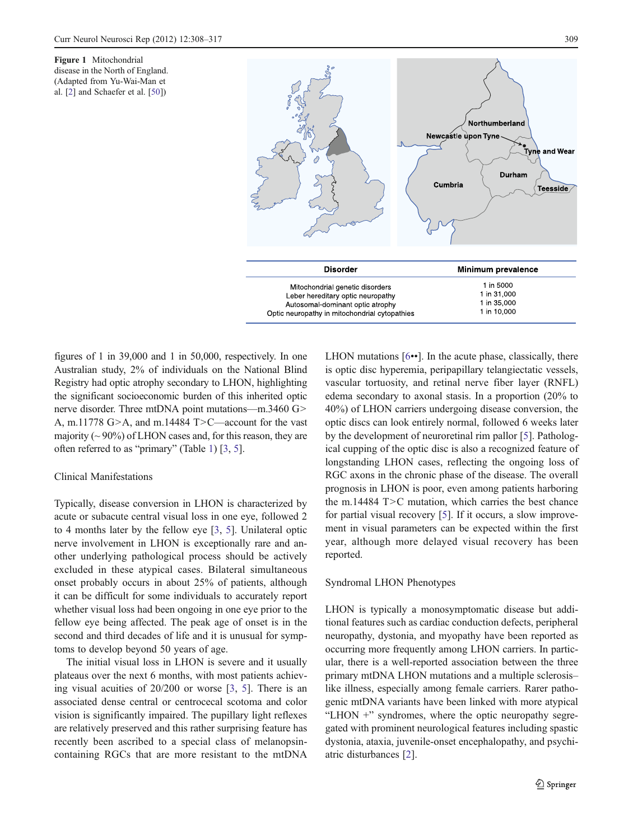Figure 1 Mitochondrial disease in the North of England. (Adapted from Yu-Wai-Man et al. [2] and Schaefer et al. [50])



figures of 1 in 39,000 and 1 in 50,000, respectively. In one Australian study, 2% of individuals on the National Blind Registry had optic atrophy secondary to LHON, highlighting the significant socioeconomic burden of this inherited optic nerve disorder. Three mtDNA point mutations—m.3460 G> A, m.11778 G>A, and m.14484 T>C—account for the vast majority ( $\sim$  90%) of LHON cases and, for this reason, they are often referred to as "primary" (Table 1) [3, 5].

## Clinical Manifestations

Typically, disease conversion in LHON is characterized by acute or subacute central visual loss in one eye, followed 2 to 4 months later by the fellow eye [3, 5]. Unilateral optic nerve involvement in LHON is exceptionally rare and another underlying pathological process should be actively excluded in these atypical cases. Bilateral simultaneous onset probably occurs in about 25% of patients, although it can be difficult for some individuals to accurately report whether visual loss had been ongoing in one eye prior to the fellow eye being affected. The peak age of onset is in the second and third decades of life and it is unusual for symptoms to develop beyond 50 years of age.

The initial visual loss in LHON is severe and it usually plateaus over the next 6 months, with most patients achieving visual acuities of 20/200 or worse [3, 5]. There is an associated dense central or centrocecal scotoma and color vision is significantly impaired. The pupillary light reflexes are relatively preserved and this rather surprising feature has recently been ascribed to a special class of melanopsincontaining RGCs that are more resistant to the mtDNA LHON mutations [6••]. In the acute phase, classically, there is optic disc hyperemia, peripapillary telangiectatic vessels, vascular tortuosity, and retinal nerve fiber layer (RNFL) edema secondary to axonal stasis. In a proportion (20% to 40%) of LHON carriers undergoing disease conversion, the optic discs can look entirely normal, followed 6 weeks later by the development of neuroretinal rim pallor [5]. Pathological cupping of the optic disc is also a recognized feature of longstanding LHON cases, reflecting the ongoing loss of RGC axons in the chronic phase of the disease. The overall prognosis in LHON is poor, even among patients harboring the m.14484 T>C mutation, which carries the best chance for partial visual recovery [5]. If it occurs, a slow improvement in visual parameters can be expected within the first year, although more delayed visual recovery has been reported.

#### Syndromal LHON Phenotypes

LHON is typically a monosymptomatic disease but additional features such as cardiac conduction defects, peripheral neuropathy, dystonia, and myopathy have been reported as occurring more frequently among LHON carriers. In particular, there is a well-reported association between the three primary mtDNA LHON mutations and a multiple sclerosis– like illness, especially among female carriers. Rarer pathogenic mtDNA variants have been linked with more atypical "LHON +" syndromes, where the optic neuropathy segregated with prominent neurological features including spastic dystonia, ataxia, juvenile-onset encephalopathy, and psychiatric disturbances [2].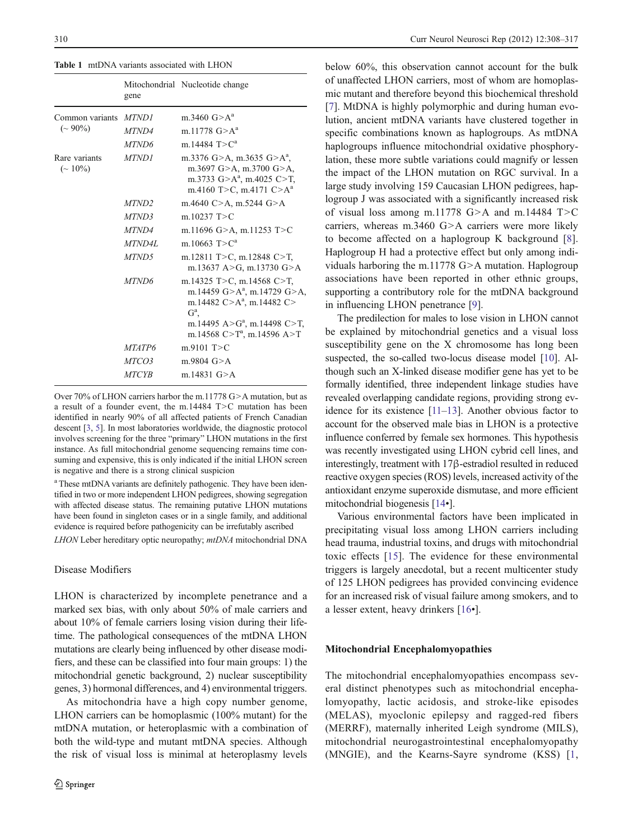Table 1 mtDNA variants associated with LHON

|                                   | gene              | Mitochondrial Nucleotide change                                                                                                                                                                  |
|-----------------------------------|-------------------|--------------------------------------------------------------------------------------------------------------------------------------------------------------------------------------------------|
| Common variants<br>$({\sim}90\%)$ | MTND1             | m.3460 $G > A^a$                                                                                                                                                                                 |
|                                   | MTND4             | m.11778 $G > A^a$                                                                                                                                                                                |
|                                   | MTND6             | m.14484 $T > C^a$                                                                                                                                                                                |
| Rare variants<br>$({\sim 10\%})$  | MTND1             | m.3376 G>A, m.3635 G>A <sup>a</sup> ,<br>m.3697 G>A, m.3700 G>A,<br>m.3733 $G > A^a$ , m.4025 C>T,<br>m.4160 T>C, m.4171 C>A <sup>a</sup>                                                        |
|                                   | MTND <sub>2</sub> | m.4640 C>A, m.5244 G>A                                                                                                                                                                           |
|                                   | MTND3             | m. $10237$ T > C                                                                                                                                                                                 |
|                                   | MTND4             | m.11696 G>A, m.11253 T>C                                                                                                                                                                         |
|                                   | MTND4L            | m 10663 $T > Ca$                                                                                                                                                                                 |
|                                   | MTND5             | m.12811 T>C, m.12848 C>T,<br>m.13637 A>G, m.13730 G>A                                                                                                                                            |
|                                   | MTND6             | m.14325 T>C, m.14568 C>T,<br>m.14459 G>A <sup>a</sup> , m.14729 G>A,<br>m.14482 $C > A^a$ , m.14482 $C >$<br>$G^a$<br>m.14495 A>G <sup>a</sup> , m.14498 C>T,<br>m.14568 $C > T^a$ , m.14596 A>T |
|                                   | <i>MTATP6</i>     | $m.9101$ T $>C$                                                                                                                                                                                  |
|                                   | <i>MTCO3</i>      | $m.9804$ G $> A$                                                                                                                                                                                 |
|                                   | <i>MTCYB</i>      | m.14831 $G > A$                                                                                                                                                                                  |

Over 70% of LHON carriers harbor the m.11778 G>A mutation, but as a result of a founder event, the m.14484 T>C mutation has been identified in nearly 90% of all affected patients of French Canadian descent [3, 5]. In most laboratories worldwide, the diagnostic protocol involves screening for the three "primary" LHON mutations in the first instance. As full mitochondrial genome sequencing remains time consuming and expensive, this is only indicated if the initial LHON screen is negative and there is a strong clinical suspicion

<sup>a</sup> These mtDNA variants are definitely pathogenic. They have been identified in two or more independent LHON pedigrees, showing segregation with affected disease status. The remaining putative LHON mutations have been found in singleton cases or in a single family, and additional evidence is required before pathogenicity can be irrefutably ascribed

LHON Leber hereditary optic neuropathy; mtDNA mitochondrial DNA

#### Disease Modifiers

LHON is characterized by incomplete penetrance and a marked sex bias, with only about 50% of male carriers and about 10% of female carriers losing vision during their lifetime. The pathological consequences of the mtDNA LHON mutations are clearly being influenced by other disease modifiers, and these can be classified into four main groups: 1) the mitochondrial genetic background, 2) nuclear susceptibility genes, 3) hormonal differences, and 4) environmental triggers.

As mitochondria have a high copy number genome, LHON carriers can be homoplasmic (100% mutant) for the mtDNA mutation, or heteroplasmic with a combination of both the wild-type and mutant mtDNA species. Although the risk of visual loss is minimal at heteroplasmy levels

below 60%, this observation cannot account for the bulk of unaffected LHON carriers, most of whom are homoplasmic mutant and therefore beyond this biochemical threshold [7]. MtDNA is highly polymorphic and during human evolution, ancient mtDNA variants have clustered together in specific combinations known as haplogroups. As mtDNA haplogroups influence mitochondrial oxidative phosphorylation, these more subtle variations could magnify or lessen the impact of the LHON mutation on RGC survival. In a large study involving 159 Caucasian LHON pedigrees, haplogroup J was associated with a significantly increased risk of visual loss among m.11778 G>A and m.14484 T>C carriers, whereas m.3460 G>A carriers were more likely to become affected on a haplogroup K background [8]. Haplogroup H had a protective effect but only among individuals harboring the m.11778 G>A mutation. Haplogroup associations have been reported in other ethnic groups, supporting a contributory role for the mtDNA background in influencing LHON penetrance [9].

The predilection for males to lose vision in LHON cannot be explained by mitochondrial genetics and a visual loss susceptibility gene on the X chromosome has long been suspected, the so-called two-locus disease model [10]. Although such an X-linked disease modifier gene has yet to be formally identified, three independent linkage studies have revealed overlapping candidate regions, providing strong evidence for its existence [11–13]. Another obvious factor to account for the observed male bias in LHON is a protective influence conferred by female sex hormones. This hypothesis was recently investigated using LHON cybrid cell lines, and interestingly, treatment with 17β-estradiol resulted in reduced reactive oxygen species (ROS) levels, increased activity of the antioxidant enzyme superoxide dismutase, and more efficient mitochondrial biogenesis [14•].

Various environmental factors have been implicated in precipitating visual loss among LHON carriers including head trauma, industrial toxins, and drugs with mitochondrial toxic effects [15]. The evidence for these environmental triggers is largely anecdotal, but a recent multicenter study of 125 LHON pedigrees has provided convincing evidence for an increased risk of visual failure among smokers, and to a lesser extent, heavy drinkers [16•].

### Mitochondrial Encephalomyopathies

The mitochondrial encephalomyopathies encompass several distinct phenotypes such as mitochondrial encephalomyopathy, lactic acidosis, and stroke-like episodes (MELAS), myoclonic epilepsy and ragged-red fibers (MERRF), maternally inherited Leigh syndrome (MILS), mitochondrial neurogastrointestinal encephalomyopathy (MNGIE), and the Kearns-Sayre syndrome (KSS) [1,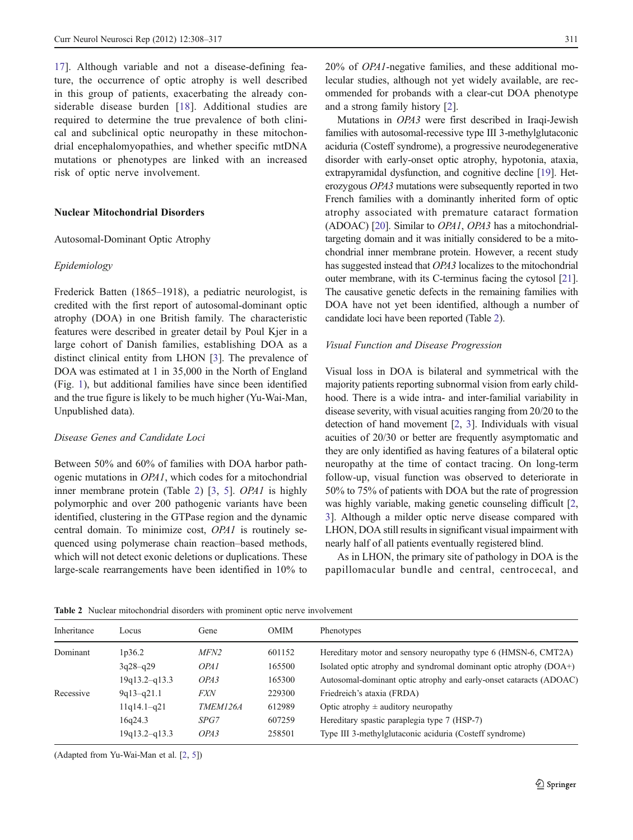17]. Although variable and not a disease-defining feature, the occurrence of optic atrophy is well described in this group of patients, exacerbating the already considerable disease burden [18]. Additional studies are required to determine the true prevalence of both clinical and subclinical optic neuropathy in these mitochondrial encephalomyopathies, and whether specific mtDNA mutations or phenotypes are linked with an increased risk of optic nerve involvement.

### Nuclear Mitochondrial Disorders

#### Autosomal-Dominant Optic Atrophy

# Epidemiology

Frederick Batten (1865–1918), a pediatric neurologist, is credited with the first report of autosomal-dominant optic atrophy (DOA) in one British family. The characteristic features were described in greater detail by Poul Kjer in a large cohort of Danish families, establishing DOA as a distinct clinical entity from LHON [3]. The prevalence of DOA was estimated at 1 in 35,000 in the North of England (Fig. 1), but additional families have since been identified and the true figure is likely to be much higher (Yu-Wai-Man, Unpublished data).

### Disease Genes and Candidate Loci

Between 50% and 60% of families with DOA harbor pathogenic mutations in OPA1, which codes for a mitochondrial inner membrane protein (Table 2) [3, 5]. OPA1 is highly polymorphic and over 200 pathogenic variants have been identified, clustering in the GTPase region and the dynamic central domain. To minimize cost, OPA1 is routinely sequenced using polymerase chain reaction–based methods, which will not detect exonic deletions or duplications. These large-scale rearrangements have been identified in 10% to 20% of OPA1-negative families, and these additional molecular studies, although not yet widely available, are recommended for probands with a clear-cut DOA phenotype and a strong family history [2].

Mutations in OPA3 were first described in Iraqi-Jewish families with autosomal-recessive type III 3-methylglutaconic aciduria (Costeff syndrome), a progressive neurodegenerative disorder with early-onset optic atrophy, hypotonia, ataxia, extrapyramidal dysfunction, and cognitive decline [19]. Heterozygous OPA3 mutations were subsequently reported in two French families with a dominantly inherited form of optic atrophy associated with premature cataract formation (ADOAC) [20]. Similar to OPA1, OPA3 has a mitochondrialtargeting domain and it was initially considered to be a mitochondrial inner membrane protein. However, a recent study has suggested instead that OPA3 localizes to the mitochondrial outer membrane, with its C-terminus facing the cytosol [21]. The causative genetic defects in the remaining families with DOA have not yet been identified, although a number of candidate loci have been reported (Table 2).

#### Visual Function and Disease Progression

Visual loss in DOA is bilateral and symmetrical with the majority patients reporting subnormal vision from early childhood. There is a wide intra- and inter-familial variability in disease severity, with visual acuities ranging from 20/20 to the detection of hand movement [2, 3]. Individuals with visual acuities of 20/30 or better are frequently asymptomatic and they are only identified as having features of a bilateral optic neuropathy at the time of contact tracing. On long-term follow-up, visual function was observed to deteriorate in 50% to 75% of patients with DOA but the rate of progression was highly variable, making genetic counseling difficult [2, 3]. Although a milder optic nerve disease compared with LHON, DOA still results in significant visual impairment with nearly half of all patients eventually registered blind.

As in LHON, the primary site of pathology in DOA is the papillomacular bundle and central, centrocecal, and

Table 2 Nuclear mitochondrial disorders with prominent optic nerve involvement

| Inheritance | Locus             | Gene             | OMIM   | Phenotypes                                                         |
|-------------|-------------------|------------------|--------|--------------------------------------------------------------------|
| Dominant    | 1p36.2            | <i>MFN2</i>      | 601152 | Hereditary motor and sensory neuropathy type 6 (HMSN-6, CMT2A)     |
|             | $3q28-q29$        | OPA <sub>1</sub> | 165500 | Isolated optic atrophy and syndromal dominant optic atrophy (DOA+) |
|             | $19q13.2 - q13.3$ | OPA3             | 165300 | Autosomal-dominant optic atrophy and early-onset cataracts (ADOAC) |
| Recessive   | $9q13-q21.1$      | <i>FXN</i>       | 229300 | Friedreich's ataxia (FRDA)                                         |
|             | $11q14.1-q21$     | <i>TMEM126A</i>  | 612989 | Optic atrophy $\pm$ auditory neuropathy                            |
|             | 16q24.3           | SPG7             | 607259 | Hereditary spastic paraplegia type 7 (HSP-7)                       |
|             | $19q13.2 - q13.3$ | OPA3             | 258501 | Type III 3-methylglutaconic aciduria (Costeff syndrome)            |
|             |                   |                  |        |                                                                    |

(Adapted from Yu-Wai-Man et al. [2, 5])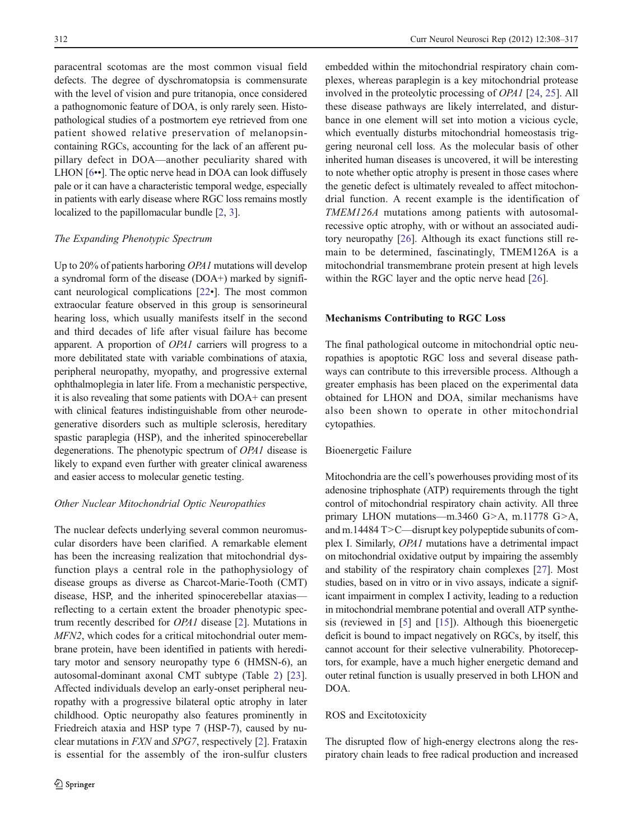paracentral scotomas are the most common visual field defects. The degree of dyschromatopsia is commensurate with the level of vision and pure tritanopia, once considered a pathognomonic feature of DOA, is only rarely seen. Histopathological studies of a postmortem eye retrieved from one patient showed relative preservation of melanopsincontaining RGCs, accounting for the lack of an afferent pupillary defect in DOA—another peculiarity shared with LHON [6••]. The optic nerve head in DOA can look diffusely pale or it can have a characteristic temporal wedge, especially in patients with early disease where RGC loss remains mostly localized to the papillomacular bundle [2, 3].

### The Expanding Phenotypic Spectrum

Up to 20% of patients harboring *OPA1* mutations will develop a syndromal form of the disease (DOA+) marked by significant neurological complications [22•]. The most common extraocular feature observed in this group is sensorineural hearing loss, which usually manifests itself in the second and third decades of life after visual failure has become apparent. A proportion of OPA1 carriers will progress to a more debilitated state with variable combinations of ataxia, peripheral neuropathy, myopathy, and progressive external ophthalmoplegia in later life. From a mechanistic perspective, it is also revealing that some patients with DOA+ can present with clinical features indistinguishable from other neurodegenerative disorders such as multiple sclerosis, hereditary spastic paraplegia (HSP), and the inherited spinocerebellar degenerations. The phenotypic spectrum of OPA1 disease is likely to expand even further with greater clinical awareness and easier access to molecular genetic testing.

## Other Nuclear Mitochondrial Optic Neuropathies

The nuclear defects underlying several common neuromuscular disorders have been clarified. A remarkable element has been the increasing realization that mitochondrial dysfunction plays a central role in the pathophysiology of disease groups as diverse as Charcot-Marie-Tooth (CMT) disease, HSP, and the inherited spinocerebellar ataxias reflecting to a certain extent the broader phenotypic spectrum recently described for OPA1 disease [2]. Mutations in MFN2, which codes for a critical mitochondrial outer membrane protein, have been identified in patients with hereditary motor and sensory neuropathy type 6 (HMSN-6), an autosomal-dominant axonal CMT subtype (Table 2) [23]. Affected individuals develop an early-onset peripheral neuropathy with a progressive bilateral optic atrophy in later childhood. Optic neuropathy also features prominently in Friedreich ataxia and HSP type 7 (HSP-7), caused by nuclear mutations in FXN and SPG7, respectively [2]. Frataxin is essential for the assembly of the iron-sulfur clusters

embedded within the mitochondrial respiratory chain complexes, whereas paraplegin is a key mitochondrial protease involved in the proteolytic processing of OPA1 [24, 25]. All these disease pathways are likely interrelated, and disturbance in one element will set into motion a vicious cycle, which eventually disturbs mitochondrial homeostasis triggering neuronal cell loss. As the molecular basis of other inherited human diseases is uncovered, it will be interesting to note whether optic atrophy is present in those cases where the genetic defect is ultimately revealed to affect mitochondrial function. A recent example is the identification of TMEM126A mutations among patients with autosomalrecessive optic atrophy, with or without an associated auditory neuropathy [26]. Although its exact functions still remain to be determined, fascinatingly, TMEM126A is a mitochondrial transmembrane protein present at high levels within the RGC layer and the optic nerve head [26].

# Mechanisms Contributing to RGC Loss

The final pathological outcome in mitochondrial optic neuropathies is apoptotic RGC loss and several disease pathways can contribute to this irreversible process. Although a greater emphasis has been placed on the experimental data obtained for LHON and DOA, similar mechanisms have also been shown to operate in other mitochondrial cytopathies.

# Bioenergetic Failure

Mitochondria are the cell's powerhouses providing most of its adenosine triphosphate (ATP) requirements through the tight control of mitochondrial respiratory chain activity. All three primary LHON mutations—m.3460 G>A, m.11778 G>A, and m.14484 T>C—disrupt key polypeptide subunits of complex I. Similarly, OPA1 mutations have a detrimental impact on mitochondrial oxidative output by impairing the assembly and stability of the respiratory chain complexes [27]. Most studies, based on in vitro or in vivo assays, indicate a significant impairment in complex I activity, leading to a reduction in mitochondrial membrane potential and overall ATP synthesis (reviewed in [5] and [15]). Although this bioenergetic deficit is bound to impact negatively on RGCs, by itself, this cannot account for their selective vulnerability. Photoreceptors, for example, have a much higher energetic demand and outer retinal function is usually preserved in both LHON and DOA.

# ROS and Excitotoxicity

The disrupted flow of high-energy electrons along the respiratory chain leads to free radical production and increased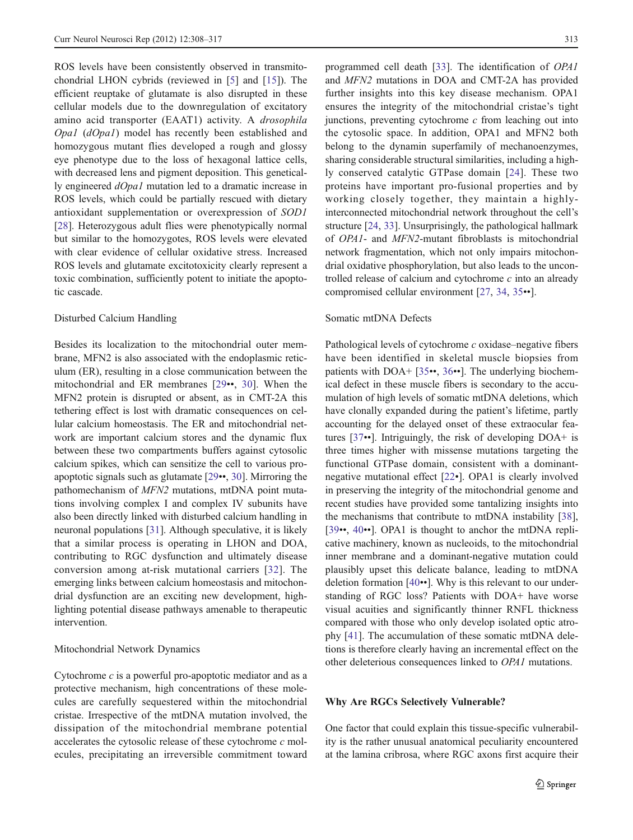ROS levels have been consistently observed in transmitochondrial LHON cybrids (reviewed in [5] and [15]). The efficient reuptake of glutamate is also disrupted in these cellular models due to the downregulation of excitatory amino acid transporter (EAAT1) activity. A drosophila Opa1 (dOpa1) model has recently been established and homozygous mutant flies developed a rough and glossy eye phenotype due to the loss of hexagonal lattice cells, with decreased lens and pigment deposition. This genetically engineered dOpa1 mutation led to a dramatic increase in ROS levels, which could be partially rescued with dietary antioxidant supplementation or overexpression of SOD1 [28]. Heterozygous adult flies were phenotypically normal but similar to the homozygotes, ROS levels were elevated with clear evidence of cellular oxidative stress. Increased ROS levels and glutamate excitotoxicity clearly represent a toxic combination, sufficiently potent to initiate the apoptotic cascade.

# Disturbed Calcium Handling

Besides its localization to the mitochondrial outer membrane, MFN2 is also associated with the endoplasmic reticulum (ER), resulting in a close communication between the mitochondrial and ER membranes [29••, 30]. When the MFN2 protein is disrupted or absent, as in CMT-2A this tethering effect is lost with dramatic consequences on cellular calcium homeostasis. The ER and mitochondrial network are important calcium stores and the dynamic flux between these two compartments buffers against cytosolic calcium spikes, which can sensitize the cell to various proapoptotic signals such as glutamate [29••, 30]. Mirroring the pathomechanism of MFN2 mutations, mtDNA point mutations involving complex I and complex IV subunits have also been directly linked with disturbed calcium handling in neuronal populations [31]. Although speculative, it is likely that a similar process is operating in LHON and DOA, contributing to RGC dysfunction and ultimately disease conversion among at-risk mutational carriers [32]. The emerging links between calcium homeostasis and mitochondrial dysfunction are an exciting new development, highlighting potential disease pathways amenable to therapeutic intervention.

### Mitochondrial Network Dynamics

Cytochrome  $c$  is a powerful pro-apoptotic mediator and as a protective mechanism, high concentrations of these molecules are carefully sequestered within the mitochondrial cristae. Irrespective of the mtDNA mutation involved, the dissipation of the mitochondrial membrane potential accelerates the cytosolic release of these cytochrome c molecules, precipitating an irreversible commitment toward programmed cell death [33]. The identification of OPA1 and MFN2 mutations in DOA and CMT-2A has provided further insights into this key disease mechanism. OPA1 ensures the integrity of the mitochondrial cristae's tight junctions, preventing cytochrome  $c$  from leaching out into the cytosolic space. In addition, OPA1 and MFN2 both belong to the dynamin superfamily of mechanoenzymes, sharing considerable structural similarities, including a highly conserved catalytic GTPase domain [24]. These two proteins have important pro-fusional properties and by working closely together, they maintain a highlyinterconnected mitochondrial network throughout the cell's structure [24, 33]. Unsurprisingly, the pathological hallmark of OPA1- and MFN2-mutant fibroblasts is mitochondrial network fragmentation, which not only impairs mitochondrial oxidative phosphorylation, but also leads to the uncontrolled release of calcium and cytochrome  $c$  into an already compromised cellular environment [27, 34, 35••].

### Somatic mtDNA Defects

Pathological levels of cytochrome c oxidase–negative fibers have been identified in skeletal muscle biopsies from patients with DOA+ [35••, 36••]. The underlying biochemical defect in these muscle fibers is secondary to the accumulation of high levels of somatic mtDNA deletions, which have clonally expanded during the patient's lifetime, partly accounting for the delayed onset of these extraocular features [37••]. Intriguingly, the risk of developing DOA+ is three times higher with missense mutations targeting the functional GTPase domain, consistent with a dominantnegative mutational effect [22•]. OPA1 is clearly involved in preserving the integrity of the mitochondrial genome and recent studies have provided some tantalizing insights into the mechanisms that contribute to mtDNA instability [38], [39••, 40••]. OPA1 is thought to anchor the mtDNA replicative machinery, known as nucleoids, to the mitochondrial inner membrane and a dominant-negative mutation could plausibly upset this delicate balance, leading to mtDNA deletion formation [40••]. Why is this relevant to our understanding of RGC loss? Patients with DOA+ have worse visual acuities and significantly thinner RNFL thickness compared with those who only develop isolated optic atrophy [41]. The accumulation of these somatic mtDNA deletions is therefore clearly having an incremental effect on the other deleterious consequences linked to OPA1 mutations.

# Why Are RGCs Selectively Vulnerable?

One factor that could explain this tissue-specific vulnerability is the rather unusual anatomical peculiarity encountered at the lamina cribrosa, where RGC axons first acquire their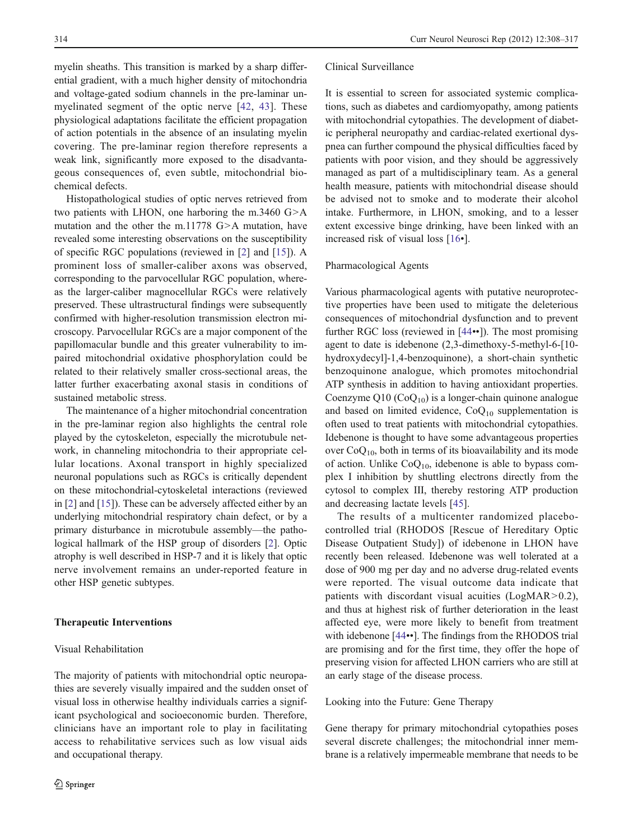myelin sheaths. This transition is marked by a sharp differential gradient, with a much higher density of mitochondria and voltage-gated sodium channels in the pre-laminar unmyelinated segment of the optic nerve [42, 43]. These physiological adaptations facilitate the efficient propagation of action potentials in the absence of an insulating myelin covering. The pre-laminar region therefore represents a weak link, significantly more exposed to the disadvantageous consequences of, even subtle, mitochondrial biochemical defects.

Histopathological studies of optic nerves retrieved from two patients with LHON, one harboring the m.3460 G>A mutation and the other the m.11778 G>A mutation, have revealed some interesting observations on the susceptibility of specific RGC populations (reviewed in [2] and [15]). A prominent loss of smaller-caliber axons was observed, corresponding to the parvocellular RGC population, whereas the larger-caliber magnocellular RGCs were relatively preserved. These ultrastructural findings were subsequently confirmed with higher-resolution transmission electron microscopy. Parvocellular RGCs are a major component of the papillomacular bundle and this greater vulnerability to impaired mitochondrial oxidative phosphorylation could be related to their relatively smaller cross-sectional areas, the latter further exacerbating axonal stasis in conditions of sustained metabolic stress.

The maintenance of a higher mitochondrial concentration in the pre-laminar region also highlights the central role played by the cytoskeleton, especially the microtubule network, in channeling mitochondria to their appropriate cellular locations. Axonal transport in highly specialized neuronal populations such as RGCs is critically dependent on these mitochondrial-cytoskeletal interactions (reviewed in [2] and [15]). These can be adversely affected either by an underlying mitochondrial respiratory chain defect, or by a primary disturbance in microtubule assembly—the pathological hallmark of the HSP group of disorders [2]. Optic atrophy is well described in HSP-7 and it is likely that optic nerve involvement remains an under-reported feature in other HSP genetic subtypes.

The majority of patients with mitochondrial optic neuropathies are severely visually impaired and the sudden onset of

# Therapeutic Interventions

#### Visual Rehabilitation

#### Clinical Surveillance

It is essential to screen for associated systemic complications, such as diabetes and cardiomyopathy, among patients with mitochondrial cytopathies. The development of diabetic peripheral neuropathy and cardiac-related exertional dyspnea can further compound the physical difficulties faced by patients with poor vision, and they should be aggressively managed as part of a multidisciplinary team. As a general health measure, patients with mitochondrial disease should be advised not to smoke and to moderate their alcohol intake. Furthermore, in LHON, smoking, and to a lesser extent excessive binge drinking, have been linked with an increased risk of visual loss [16•].

# Pharmacological Agents

Various pharmacological agents with putative neuroprotective properties have been used to mitigate the deleterious consequences of mitochondrial dysfunction and to prevent further RGC loss (reviewed in [44••]). The most promising agent to date is idebenone (2,3-dimethoxy-5-methyl-6-[10 hydroxydecyl]-1,4-benzoquinone), a short-chain synthetic benzoquinone analogue, which promotes mitochondrial ATP synthesis in addition to having antioxidant properties. Coenzyme  $Q10$  (Co $Q_{10}$ ) is a longer-chain quinone analogue and based on limited evidence,  $CoQ_{10}$  supplementation is often used to treat patients with mitochondrial cytopathies. Idebenone is thought to have some advantageous properties over  $CoQ_{10}$ , both in terms of its bioavailability and its mode of action. Unlike  $CoQ<sub>10</sub>$ , idebenone is able to bypass complex I inhibition by shuttling electrons directly from the cytosol to complex III, thereby restoring ATP production and decreasing lactate levels [45].

The results of a multicenter randomized placebocontrolled trial (RHODOS [Rescue of Hereditary Optic Disease Outpatient Study]) of idebenone in LHON have recently been released. Idebenone was well tolerated at a dose of 900 mg per day and no adverse drug-related events were reported. The visual outcome data indicate that patients with discordant visual acuities (LogMAR>0.2), and thus at highest risk of further deterioration in the least affected eye, were more likely to benefit from treatment with idebenone [44••]. The findings from the RHODOS trial are promising and for the first time, they offer the hope of preserving vision for affected LHON carriers who are still at an early stage of the disease process.

#### Looking into the Future: Gene Therapy

Gene therapy for primary mitochondrial cytopathies poses several discrete challenges; the mitochondrial inner membrane is a relatively impermeable membrane that needs to be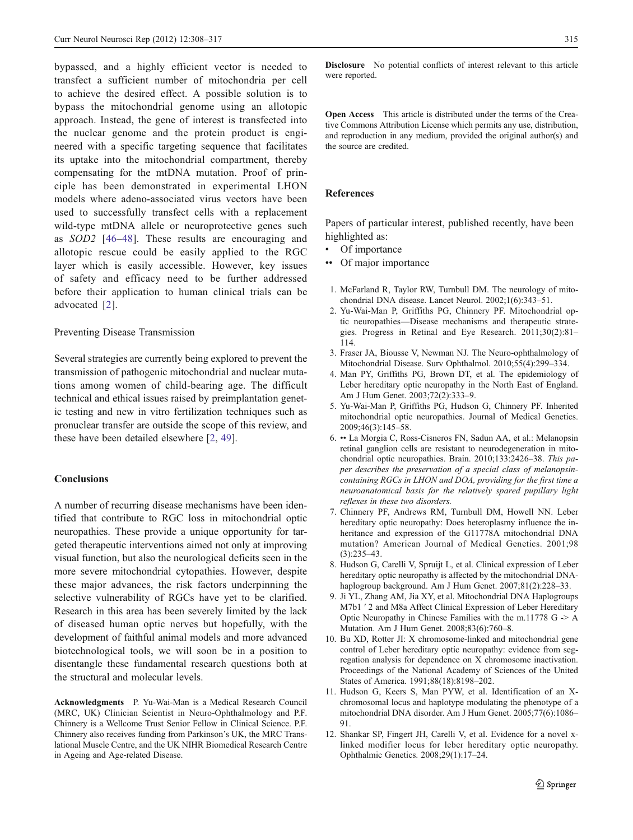bypassed, and a highly efficient vector is needed to transfect a sufficient number of mitochondria per cell to achieve the desired effect. A possible solution is to bypass the mitochondrial genome using an allotopic approach. Instead, the gene of interest is transfected into the nuclear genome and the protein product is engineered with a specific targeting sequence that facilitates its uptake into the mitochondrial compartment, thereby compensating for the mtDNA mutation. Proof of principle has been demonstrated in experimental LHON models where adeno-associated virus vectors have been used to successfully transfect cells with a replacement wild-type mtDNA allele or neuroprotective genes such as SOD2 [46–48]. These results are encouraging and allotopic rescue could be easily applied to the RGC layer which is easily accessible. However, key issues of safety and efficacy need to be further addressed before their application to human clinical trials can be advocated [2].

#### Preventing Disease Transmission

Several strategies are currently being explored to prevent the transmission of pathogenic mitochondrial and nuclear mutations among women of child-bearing age. The difficult technical and ethical issues raised by preimplantation genetic testing and new in vitro fertilization techniques such as pronuclear transfer are outside the scope of this review, and these have been detailed elsewhere [2, 49].

# Conclusions

A number of recurring disease mechanisms have been identified that contribute to RGC loss in mitochondrial optic neuropathies. These provide a unique opportunity for targeted therapeutic interventions aimed not only at improving visual function, but also the neurological deficits seen in the more severe mitochondrial cytopathies. However, despite these major advances, the risk factors underpinning the selective vulnerability of RGCs have yet to be clarified. Research in this area has been severely limited by the lack of diseased human optic nerves but hopefully, with the development of faithful animal models and more advanced biotechnological tools, we will soon be in a position to disentangle these fundamental research questions both at the structural and molecular levels.

Acknowledgments P. Yu-Wai-Man is a Medical Research Council (MRC, UK) Clinician Scientist in Neuro-Ophthalmology and P.F. Chinnery is a Wellcome Trust Senior Fellow in Clinical Science. P.F. Chinnery also receives funding from Parkinson's UK, the MRC Translational Muscle Centre, and the UK NIHR Biomedical Research Centre in Ageing and Age-related Disease.

Disclosure No potential conflicts of interest relevant to this article were reported.

Open Access This article is distributed under the terms of the Creative Commons Attribution License which permits any use, distribution, and reproduction in any medium, provided the original author(s) and the source are credited.

#### References

Papers of particular interest, published recently, have been highlighted as:

- Of importance
- •• Of major importance
- 1. McFarland R, Taylor RW, Turnbull DM. The neurology of mitochondrial DNA disease. Lancet Neurol. 2002;1(6):343–51.
- 2. Yu-Wai-Man P, Griffiths PG, Chinnery PF. Mitochondrial optic neuropathies—Disease mechanisms and therapeutic strategies. Progress in Retinal and Eye Research. 2011;30(2):81– 114.
- 3. Fraser JA, Biousse V, Newman NJ. The Neuro-ophthalmology of Mitochondrial Disease. Surv Ophthalmol. 2010;55(4):299–334.
- 4. Man PY, Griffiths PG, Brown DT, et al. The epidemiology of Leber hereditary optic neuropathy in the North East of England. Am J Hum Genet. 2003;72(2):333–9.
- 5. Yu-Wai-Man P, Griffiths PG, Hudson G, Chinnery PF. Inherited mitochondrial optic neuropathies. Journal of Medical Genetics. 2009;46(3):145–58.
- 6. •• La Morgia C, Ross-Cisneros FN, Sadun AA, et al.: Melanopsin retinal ganglion cells are resistant to neurodegeneration in mitochondrial optic neuropathies. Brain. 2010;133:2426–38. This paper describes the preservation of a special class of melanopsincontaining RGCs in LHON and DOA, providing for the first time a neuroanatomical basis for the relatively spared pupillary light reflexes in these two disorders.
- 7. Chinnery PF, Andrews RM, Turnbull DM, Howell NN. Leber hereditary optic neuropathy: Does heteroplasmy influence the inheritance and expression of the G11778A mitochondrial DNA mutation? American Journal of Medical Genetics. 2001;98 (3):235–43.
- 8. Hudson G, Carelli V, Spruijt L, et al. Clinical expression of Leber hereditary optic neuropathy is affected by the mitochondrial DNAhaplogroup background. Am J Hum Genet. 2007;81(2):228–33.
- 9. Ji YL, Zhang AM, Jia XY, et al. Mitochondrial DNA Haplogroups M7b1 ′ 2 and M8a Affect Clinical Expression of Leber Hereditary Optic Neuropathy in Chinese Families with the m.11778  $G \geq A$ Mutation. Am J Hum Genet. 2008;83(6):760–8.
- 10. Bu XD, Rotter JI: X chromosome-linked and mitochondrial gene control of Leber hereditary optic neuropathy: evidence from segregation analysis for dependence on X chromosome inactivation. Proceedings of the National Academy of Sciences of the United States of America. 1991;88(18):8198–202.
- 11. Hudson G, Keers S, Man PYW, et al. Identification of an Xchromosomal locus and haplotype modulating the phenotype of a mitochondrial DNA disorder. Am J Hum Genet. 2005;77(6):1086– 91.
- 12. Shankar SP, Fingert JH, Carelli V, et al. Evidence for a novel xlinked modifier locus for leber hereditary optic neuropathy. Ophthalmic Genetics. 2008;29(1):17–24.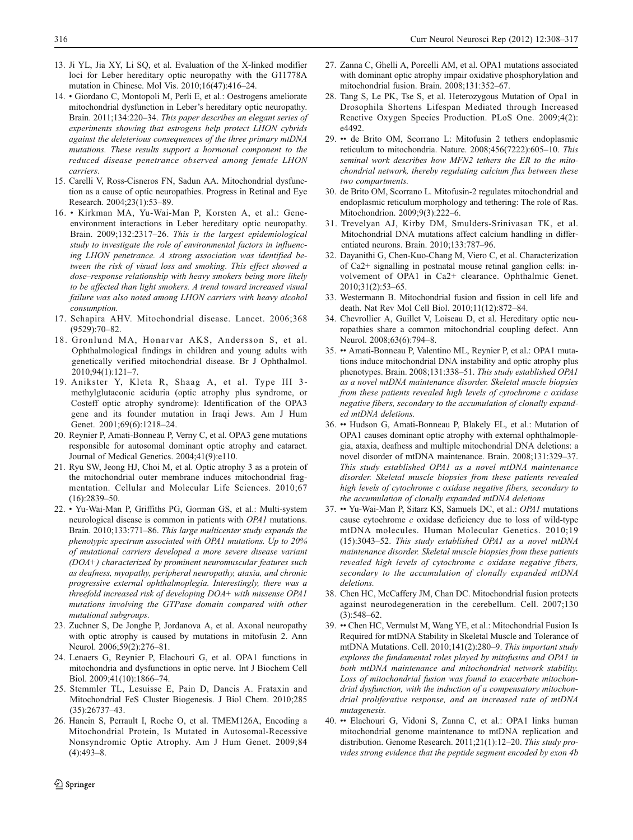- 13. Ji YL, Jia XY, Li SQ, et al. Evaluation of the X-linked modifier loci for Leber hereditary optic neuropathy with the G11778A mutation in Chinese. Mol Vis. 2010;16(47):416–24.
- 14. Giordano C, Montopoli M, Perli E, et al.: Oestrogens ameliorate mitochondrial dysfunction in Leber's hereditary optic neuropathy. Brain. 2011;134:220–34. This paper describes an elegant series of experiments showing that estrogens help protect LHON cybrids against the deleterious consequences of the three primary mtDNA mutations. These results support a hormonal component to the reduced disease penetrance observed among female LHON carriers.
- 15. Carelli V, Ross-Cisneros FN, Sadun AA. Mitochondrial dysfunction as a cause of optic neuropathies. Progress in Retinal and Eye Research. 2004;23(1):53–89.
- 16. Kirkman MA, Yu-Wai-Man P, Korsten A, et al.: Geneenvironment interactions in Leber hereditary optic neuropathy. Brain. 2009;132:2317–26. This is the largest epidemiological study to investigate the role of environmental factors in influencing LHON penetrance. A strong association was identified between the risk of visual loss and smoking. This effect showed a dose–response relationship with heavy smokers being more likely to be affected than light smokers. A trend toward increased visual failure was also noted among LHON carriers with heavy alcohol consumption.
- 17. Schapira AHV. Mitochondrial disease. Lancet. 2006;368 (9529):70–82.
- 18. Gronlund MA, Honarvar AKS, Andersson S, et al. Ophthalmological findings in children and young adults with genetically verified mitochondrial disease. Br J Ophthalmol. 2010;94(1):121–7.
- 19. Anikster Y, Kleta R, Shaag A, et al. Type III 3methylglutaconic aciduria (optic atrophy plus syndrome, or Costeff optic atrophy syndrome): Identification of the OPA3 gene and its founder mutation in Iraqi Jews. Am J Hum Genet. 2001;69(6):1218-24.
- 20. Reynier P, Amati-Bonneau P, Verny C, et al. OPA3 gene mutations responsible for autosomal dominant optic atrophy and cataract. Journal of Medical Genetics. 2004;41(9):e110.
- 21. Ryu SW, Jeong HJ, Choi M, et al. Optic atrophy 3 as a protein of the mitochondrial outer membrane induces mitochondrial fragmentation. Cellular and Molecular Life Sciences. 2010;67 (16):2839–50.
- 22. Yu-Wai-Man P, Griffiths PG, Gorman GS, et al.: Multi-system neurological disease is common in patients with OPA1 mutations. Brain. 2010;133:771–86. This large multicenter study expands the phenotypic spectrum associated with OPA1 mutations. Up to 20% of mutational carriers developed a more severe disease variant (DOA+) characterized by prominent neuromuscular features such as deafness, myopathy, peripheral neuropathy, ataxia, and chronic progressive external ophthalmoplegia. Interestingly, there was a threefold increased risk of developing DOA+ with missense OPA1 mutations involving the GTPase domain compared with other mutational subgroups.
- 23. Zuchner S, De Jonghe P, Jordanova A, et al. Axonal neuropathy with optic atrophy is caused by mutations in mitofusin 2. Ann Neurol. 2006;59(2):276–81.
- 24. Lenaers G, Reynier P, Elachouri G, et al. OPA1 functions in mitochondria and dysfunctions in optic nerve. Int J Biochem Cell Biol. 2009;41(10):1866–74.
- 25. Stemmler TL, Lesuisse E, Pain D, Dancis A. Frataxin and Mitochondrial FeS Cluster Biogenesis. J Biol Chem. 2010;285 (35):26737–43.
- 26. Hanein S, Perrault I, Roche O, et al. TMEM126A, Encoding a Mitochondrial Protein, Is Mutated in Autosomal-Recessive Nonsyndromic Optic Atrophy. Am J Hum Genet. 2009;84 (4):493–8.
- 27. Zanna C, Ghelli A, Porcelli AM, et al. OPA1 mutations associated with dominant optic atrophy impair oxidative phosphorylation and mitochondrial fusion. Brain. 2008;131:352–67.
- 28. Tang S, Le PK, Tse S, et al. Heterozygous Mutation of Opa1 in Drosophila Shortens Lifespan Mediated through Increased Reactive Oxygen Species Production. PLoS One. 2009;4(2): e4492.
- 29. •• de Brito OM, Scorrano L: Mitofusin 2 tethers endoplasmic reticulum to mitochondria. Nature. 2008;456(7222):605–10. This seminal work describes how MFN2 tethers the ER to the mitochondrial network, thereby regulating calcium flux between these two compartments.
- 30. de Brito OM, Scorrano L. Mitofusin-2 regulates mitochondrial and endoplasmic reticulum morphology and tethering: The role of Ras. Mitochondrion. 2009;9(3):222–6.
- 31. Trevelyan AJ, Kirby DM, Smulders-Srinivasan TK, et al. Mitochondrial DNA mutations affect calcium handling in differentiated neurons. Brain. 2010;133:787–96.
- 32. Dayanithi G, Chen-Kuo-Chang M, Viero C, et al. Characterization of Ca2+ signalling in postnatal mouse retinal ganglion cells: involvement of OPA1 in Ca2+ clearance. Ophthalmic Genet. 2010;31(2):53–65.
- 33. Westermann B. Mitochondrial fusion and fission in cell life and death. Nat Rev Mol Cell Biol. 2010;11(12):872–84.
- 34. Chevrollier A, Guillet V, Loiseau D, et al. Hereditary optic neuropathies share a common mitochondrial coupling defect. Ann Neurol. 2008;63(6):794–8.
- 35. •• Amati-Bonneau P, Valentino ML, Reynier P, et al.: OPA1 mutations induce mitochondrial DNA instability and optic atrophy plus phenotypes. Brain. 2008;131:338–51. This study established OPA1 as a novel mtDNA maintenance disorder. Skeletal muscle biopsies from these patients revealed high levels of cytochrome c oxidase negative fibers, secondary to the accumulation of clonally expanded mtDNA deletions.
- 36. •• Hudson G, Amati-Bonneau P, Blakely EL, et al.: Mutation of OPA1 causes dominant optic atrophy with external ophthalmoplegia, ataxia, deafness and multiple mitochondrial DNA deletions: a novel disorder of mtDNA maintenance. Brain. 2008;131:329–37. This study established OPA1 as a novel mtDNA maintenance disorder. Skeletal muscle biopsies from these patients revealed high levels of cytochrome c oxidase negative fibers, secondary to the accumulation of clonally expanded mtDNA deletions
- 37. •• Yu-Wai-Man P, Sitarz KS, Samuels DC, et al.: OPA1 mutations cause cytochrome c oxidase deficiency due to loss of wild-type mtDNA molecules. Human Molecular Genetics. 2010;19 (15):3043–52. This study established OPA1 as a novel mtDNA maintenance disorder. Skeletal muscle biopsies from these patients revealed high levels of cytochrome c oxidase negative fibers, secondary to the accumulation of clonally expanded mtDNA deletions.
- 38. Chen HC, McCaffery JM, Chan DC. Mitochondrial fusion protects against neurodegeneration in the cerebellum. Cell. 2007;130  $(3):548-62.$
- 39. •• Chen HC, Vermulst M, Wang YE, et al.: Mitochondrial Fusion Is Required for mtDNA Stability in Skeletal Muscle and Tolerance of mtDNA Mutations. Cell. 2010;141(2):280–9. This important study explores the fundamental roles played by mitofusins and OPA1 in both mtDNA maintenance and mitochondrial network stability. Loss of mitochondrial fusion was found to exacerbate mitochondrial dysfunction, with the induction of a compensatory mitochondrial proliferative response, and an increased rate of mtDNA mutagenesis.
- 40. •• Elachouri G, Vidoni S, Zanna C, et al.: OPA1 links human mitochondrial genome maintenance to mtDNA replication and distribution. Genome Research. 2011;21(1):12–20. This study provides strong evidence that the peptide segment encoded by exon 4b